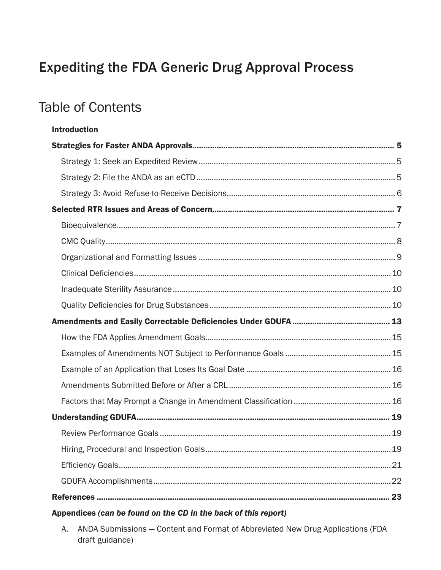## **Expediting the FDA Generic Drug Approval Process**

## **Table of Contents**

| <b>Introduction</b> |  |
|---------------------|--|
|                     |  |
|                     |  |
|                     |  |
|                     |  |
|                     |  |
|                     |  |
|                     |  |
|                     |  |
|                     |  |
|                     |  |
|                     |  |
|                     |  |
|                     |  |
|                     |  |
|                     |  |
|                     |  |
|                     |  |
|                     |  |
|                     |  |
|                     |  |
|                     |  |
|                     |  |
|                     |  |

## Appendices (can be found on the CD in the back of this report)

A. ANDA Submissions - Content and Format of Abbreviated New Drug Applications (FDA draft guidance)